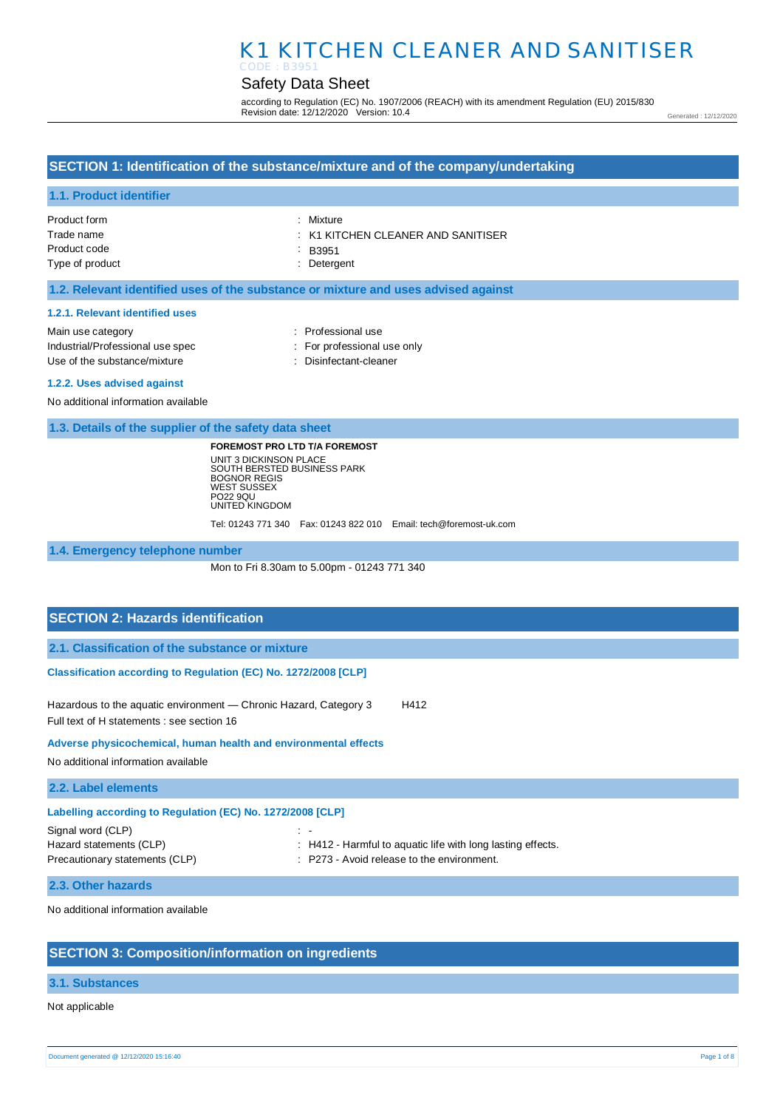## Safety Data Sheet

according to Regulation (EC) No. 1907/2006 (REACH) with its amendment Regulation (EU) 2015/830 Revision date: 12/12/2020 Version: 10.4

Generated : 12/12/2020

## **SECTION 1: Identification of the substance/mixture and of the company/undertaking**

### **1.1. Product identifier**

| Product form    | : Mixture                                     |
|-----------------|-----------------------------------------------|
| Trade name      | $\therefore$ K1 KITCHEN CLEANER AND SANITISER |
| Product code    | $\therefore$ B3951                            |
| Type of product | : Detergent                                   |

### **1.2. Relevant identified uses of the substance or mixture and uses advised against**

#### **1.2.1. Relevant identified uses**

| Main use category                |
|----------------------------------|
| Industrial/Professional use spec |
| Use of the substance/mixture     |

- : Professional use : For professional use only
- : Disinfectant-cleaner

#### **1.2.2. Uses advised against**

No additional information available

**1.3. Details of the supplier of the safety data sheet**

**FOREMOST PRO LTD T/A FOREMOST** UNIT 3 DICKINSON PLACE SOUTH BERSTED BUSINESS PARK BOGNOR REGIS WEST SUSSEX PO22 9QU UNITED KINGDOM

Tel: 01243 771 340 Fax: 01243 822 010 Email: tech@foremost-uk.com

**1.4. Emergency telephone number**

Mon to Fri 8.30am to 5.00pm - 01243 771 340

### **SECTION 2: Hazards identification**

**2.1. Classification of the substance or mixture**

**Classification according to Regulation (EC) No. 1272/2008 [CLP]** 

Hazardous to the aquatic environment - Chronic Hazard, Category 3 H412 Full text of H statements : see section 16

**Adverse physicochemical, human health and environmental effects** 

No additional information available

**2.2. Label elements**

| Labelling according to Regulation (EC) No. 1272/2008 [CLP] |                                                                 |  |
|------------------------------------------------------------|-----------------------------------------------------------------|--|
| Signal word (CLP)                                          | I –                                                             |  |
| Hazard statements (CLP)                                    | $\pm$ H412 - Harmful to aquatic life with long lasting effects. |  |
| Precautionary statements (CLP)                             | : P273 - Avoid release to the environment.                      |  |
|                                                            |                                                                 |  |

#### **2.3. Other hazards**

No additional information available

## **SECTION 3: Composition/information on ingredients**

#### **3.1. Substances**

Not applicable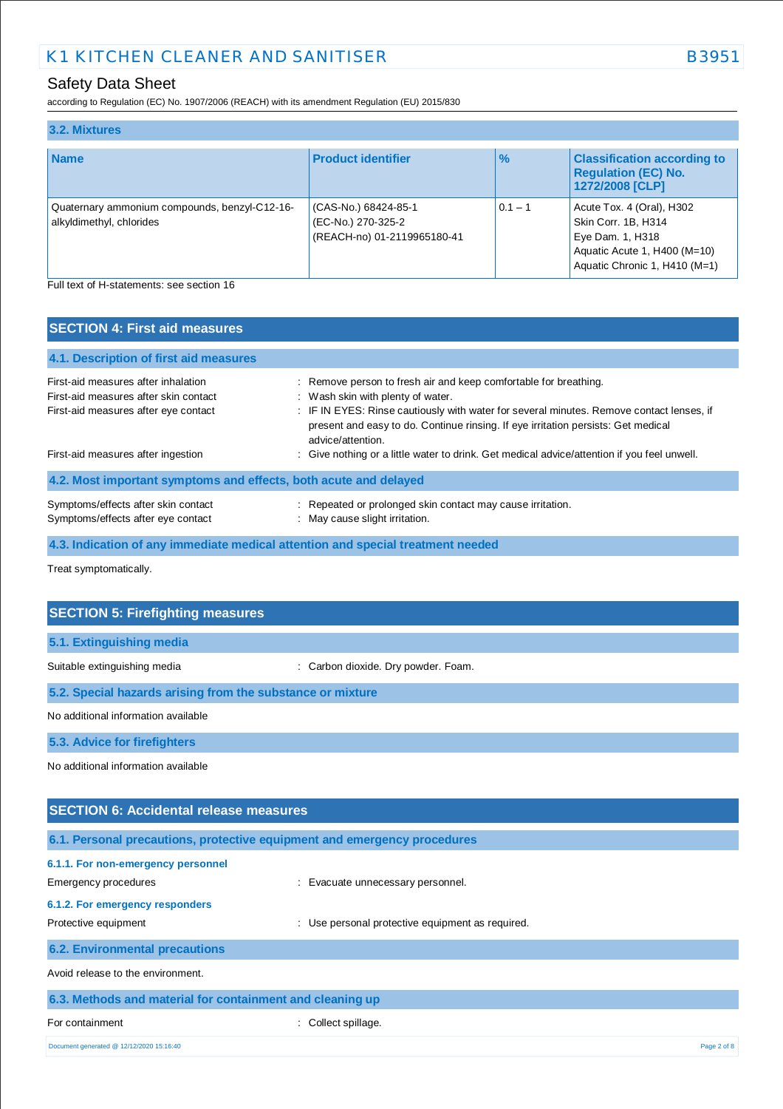# Safety Data Sheet

according to Regulation (EC) No. 1907/2006 (REACH) with its amendment Regulation (EU) 2015/830

| 3.2. Mixtures                                                             |                                                                           |               |                                                                                                                                       |
|---------------------------------------------------------------------------|---------------------------------------------------------------------------|---------------|---------------------------------------------------------------------------------------------------------------------------------------|
| <b>Name</b>                                                               | <b>Product identifier</b>                                                 | $\frac{9}{6}$ | <b>Classification according to</b><br><b>Regulation (EC) No.</b><br>1272/2008 [CLP]                                                   |
| Quaternary ammonium compounds, benzyl-C12-16-<br>alkyldimethyl, chlorides | (CAS-No.) 68424-85-1<br>(EC-No.) 270-325-2<br>(REACH-no) 01-2119965180-41 | $0.1 - 1$     | Acute Tox. 4 (Oral), H302<br>Skin Corr. 1B, H314<br>Eye Dam. 1, H318<br>Aquatic Acute 1, H400 (M=10)<br>Aquatic Chronic 1, H410 (M=1) |
| Full text of H-statements: see section 16                                 |                                                                           |               |                                                                                                                                       |

| <b>SECTION 4: First aid measures</b>                                                                                 |                                                                                                                                                                                                                                                                                                             |
|----------------------------------------------------------------------------------------------------------------------|-------------------------------------------------------------------------------------------------------------------------------------------------------------------------------------------------------------------------------------------------------------------------------------------------------------|
| 4.1. Description of first aid measures                                                                               |                                                                                                                                                                                                                                                                                                             |
| First-aid measures after inhalation<br>First-aid measures after skin contact<br>First-aid measures after eye contact | : Remove person to fresh air and keep comfortable for breathing.<br>: Wash skin with plenty of water.<br>: IF IN EYES: Rinse cautiously with water for several minutes. Remove contact lenses, if<br>present and easy to do. Continue rinsing. If eye irritation persists: Get medical<br>advice/attention. |
| First-aid measures after ingestion                                                                                   | : Give nothing or a little water to drink. Get medical advice/attention if you feel unwell.                                                                                                                                                                                                                 |
| 4.2. Most important symptoms and effects, both acute and delayed                                                     |                                                                                                                                                                                                                                                                                                             |
| Symptoms/effects after skin contact<br>Symptoms/effects after eye contact                                            | : Repeated or prolonged skin contact may cause irritation.<br>: May cause slight irritation.                                                                                                                                                                                                                |
| 4.3. Indication of any immediate medical attention and special treatment needed                                      |                                                                                                                                                                                                                                                                                                             |

Treat symptomatically.

| <b>SECTION 5: Firefighting measures</b>                    |                                     |
|------------------------------------------------------------|-------------------------------------|
|                                                            |                                     |
| 5.1. Extinguishing media                                   |                                     |
| Suitable extinguishing media                               | : Carbon dioxide. Dry powder. Foam. |
| 5.2. Special hazards arising from the substance or mixture |                                     |
| No additional information available                        |                                     |
| 5.3. Advice for firefighters                               |                                     |
| No additional information available                        |                                     |
|                                                            |                                     |
| <b>SECTION 6: Accidental release measures</b>              |                                     |

| 6.1. Personal precautions, protective equipment and emergency procedures |                                                     |             |
|--------------------------------------------------------------------------|-----------------------------------------------------|-------------|
| 6.1.1. For non-emergency personnel                                       |                                                     |             |
| Emergency procedures                                                     | : Evacuate unnecessary personnel.                   |             |
| 6.1.2. For emergency responders                                          |                                                     |             |
| Protective equipment                                                     | Use personal protective equipment as required.<br>÷ |             |
| <b>6.2. Environmental precautions</b>                                    |                                                     |             |
| Avoid release to the environment.                                        |                                                     |             |
| 6.3. Methods and material for containment and cleaning up                |                                                     |             |
| For containment                                                          | Collect spillage.                                   |             |
| Document generated @ 12/12/2020 15:16:40                                 |                                                     | Page 2 of 8 |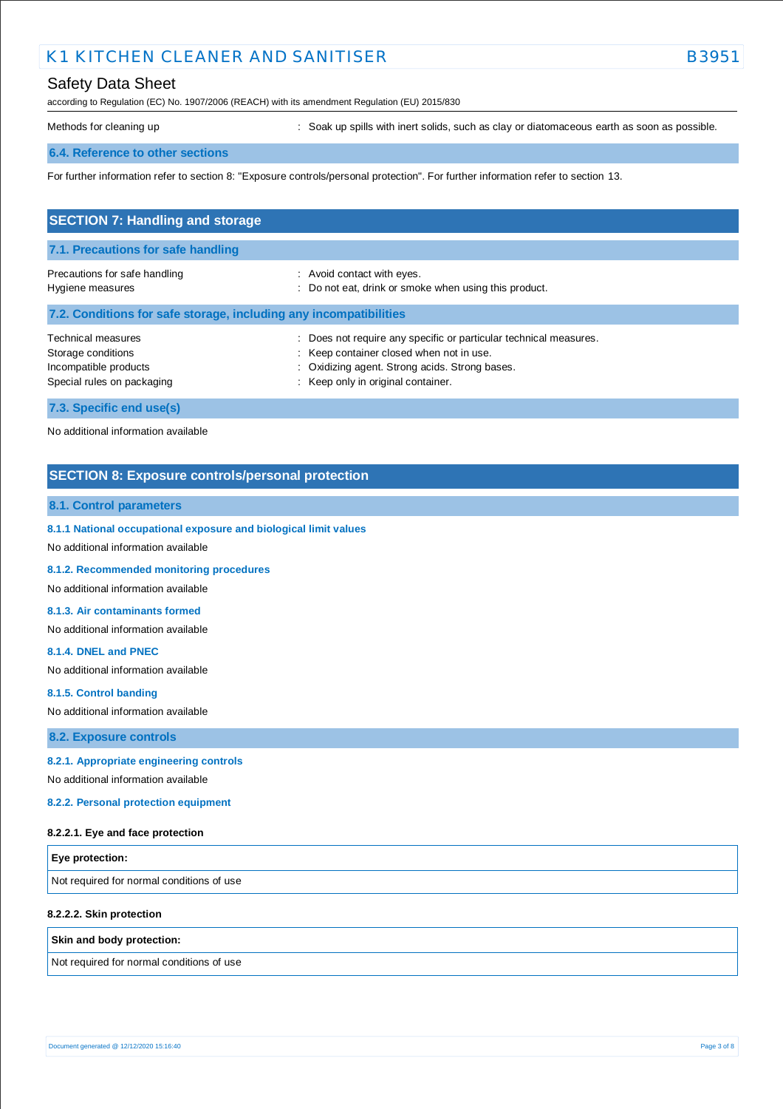## Safety Data Sheet

according to Regulation (EC) No. 1907/2006 (REACH) with its amendment Regulation (EU) 2015/830

Methods for cleaning up **interpret in the spills** with inert solids, such as clay or diatomaceous earth as soon as possible.

### **6.4. Reference to other sections**

For further information refer to section 8: "Exposure controls/personal protection". For further information refer to section 13.

| <b>SECTION 7: Handling and storage</b>                                                          |                                                                                                                                                                                                     |
|-------------------------------------------------------------------------------------------------|-----------------------------------------------------------------------------------------------------------------------------------------------------------------------------------------------------|
| 7.1. Precautions for safe handling                                                              |                                                                                                                                                                                                     |
| Precautions for safe handling<br>Hygiene measures                                               | : Avoid contact with eyes.<br>: Do not eat, drink or smoke when using this product.                                                                                                                 |
| 7.2. Conditions for safe storage, including any incompatibilities                               |                                                                                                                                                                                                     |
| Technical measures<br>Storage conditions<br>Incompatible products<br>Special rules on packaging | Does not require any specific or particular technical measures.<br>: Keep container closed when not in use.<br>: Oxidizing agent. Strong acids. Strong bases.<br>: Keep only in original container. |
| 7.3. Specific end use(s)                                                                        |                                                                                                                                                                                                     |

No additional information available

## **SECTION 8: Exposure controls/personal protection**

### **8.1. Control parameters**

**8.1.1 National occupational exposure and biological limit values** 

No additional information available

**8.1.2. Recommended monitoring procedures** 

No additional information available

**8.1.3. Air contaminants formed** 

No additional information available

**8.1.4. DNEL and PNEC** 

No additional information available

**8.1.5. Control banding** 

No additional information available

**8.2. Exposure controls**

### **8.2.1. Appropriate engineering controls**

No additional information available

**8.2.2. Personal protection equipment** 

#### **8.2.2.1. Eye and face protection**

| <b>Eye protection:</b>                    |  |
|-------------------------------------------|--|
| Not required for normal conditions of use |  |

#### **8.2.2.2. Skin protection**

#### **Skin and body protection:**

Not required for normal conditions of use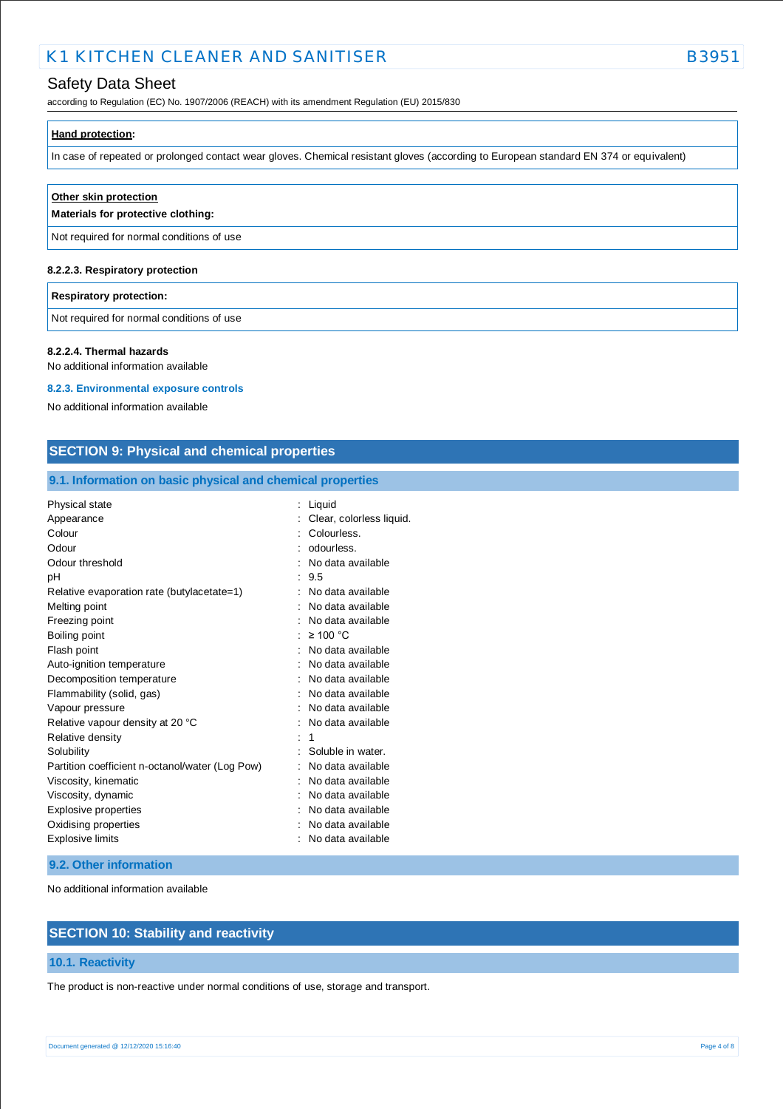## Safety Data Sheet

according to Regulation (EC) No. 1907/2006 (REACH) with its amendment Regulation (EU) 2015/830

| Hand protection: |  |  |  |
|------------------|--|--|--|
|                  |  |  |  |

In case of repeated or prolonged contact wear gloves. Chemical resistant gloves (according to European standard EN 374 or equivalent)

| Other skin protection<br>Materials for protective clothing: |
|-------------------------------------------------------------|
| Not required for normal conditions of use                   |
|                                                             |

# **8.2.2.3. Respiratory protection**

### **Respiratory protection:**

Not required for normal conditions of use

#### **8.2.2.4. Thermal hazards**

No additional information available

### **8.2.3. Environmental exposure controls**

No additional information available

### **SECTION 9: Physical and chemical properties**

### **9.1. Information on basic physical and chemical properties**

| <b>Physical state</b>                           | Liquid                   |
|-------------------------------------------------|--------------------------|
| Appearance                                      | Clear, colorless liquid. |
| Colour                                          | Colourless.              |
| Odour                                           | odourless.               |
| Odour threshold                                 | No data available        |
| рH                                              | 9.5                      |
| Relative evaporation rate (butylacetate=1)      | No data available        |
| Melting point                                   | No data available        |
| Freezing point                                  | No data available        |
| Boiling point                                   | $\geq 100$ °C            |
| Flash point                                     | No data available        |
| Auto-ignition temperature                       | No data available        |
| Decomposition temperature                       | No data available        |
| Flammability (solid, gas)                       | No data available        |
| Vapour pressure                                 | No data available        |
| Relative vapour density at 20 °C                | No data available        |
| Relative density                                | 1                        |
| Solubility                                      | Soluble in water.        |
| Partition coefficient n-octanol/water (Log Pow) | No data available        |
| Viscosity, kinematic                            | No data available        |
| Viscosity, dynamic                              | No data available        |
| Explosive properties                            | No data available        |
| Oxidising properties                            | No data available        |
| Explosive limits                                | No data available        |

### **9.2. Other information**

No additional information available

## **SECTION 10: Stability and reactivity**

### **10.1. Reactivity**

The product is non-reactive under normal conditions of use, storage and transport.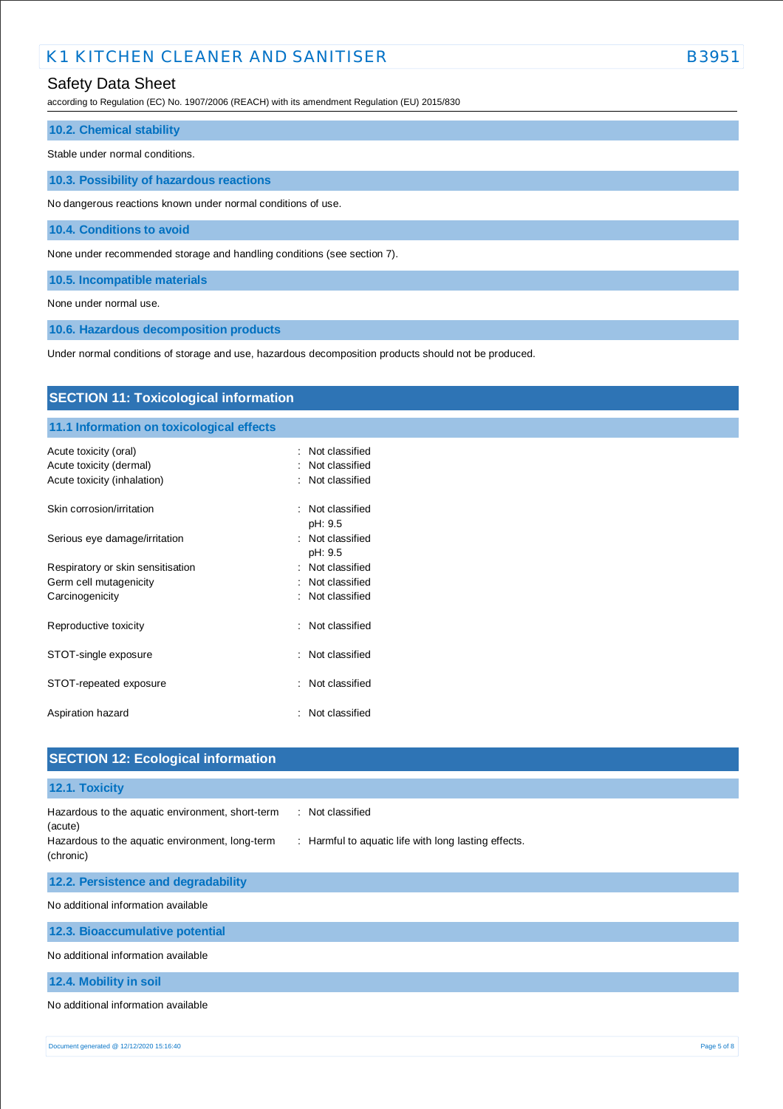## Safety Data Sheet

according to Regulation (EC) No. 1907/2006 (REACH) with its amendment Regulation (EU) 2015/830

### **10.2. Chemical stability**

Stable under normal conditions.

**10.3. Possibility of hazardous reactions**

No dangerous reactions known under normal conditions of use.

**10.4. Conditions to avoid**

None under recommended storage and handling conditions (see section 7).

**10.5. Incompatible materials**

None under normal use.

**10.6. Hazardous decomposition products**

Under normal conditions of storage and use, hazardous decomposition products should not be produced.

| <b>SECTION 11: Toxicological information</b>                                    |                                                           |  |  |  |
|---------------------------------------------------------------------------------|-----------------------------------------------------------|--|--|--|
| 11.1 Information on toxicological effects                                       |                                                           |  |  |  |
| Acute toxicity (oral)<br>Acute toxicity (dermal)<br>Acute toxicity (inhalation) | Not classified<br>÷<br>Not classified<br>: Not classified |  |  |  |
| Skin corrosion/irritation                                                       | : Not classified<br>pH: 9.5                               |  |  |  |
| Serious eye damage/irritation                                                   | : Not classified<br>pH: 9.5                               |  |  |  |
| Respiratory or skin sensitisation                                               | : Not classified                                          |  |  |  |
| Germ cell mutagenicity                                                          | : Not classified                                          |  |  |  |
| Carcinogenicity                                                                 | : Not classified                                          |  |  |  |
| Reproductive toxicity                                                           | : Not classified                                          |  |  |  |
| STOT-single exposure                                                            | Not classified<br>$\sim$                                  |  |  |  |
| STOT-repeated exposure                                                          | : Not classified                                          |  |  |  |
| Aspiration hazard                                                               | Not classified<br>÷                                       |  |  |  |
| <b>SECTION 12: Ecological information</b>                                       |                                                           |  |  |  |

# **12.1. Toxicity** Hazardous to the aquatic environment, short-term (acute) : Not classified Hazardous to the aquatic environment, long-term (chronic) : Harmful to aquatic life with long lasting effects. **12.2. Persistence and degradability** No additional information available **12.3. Bioaccumulative potential** No additional information available **12.4. Mobility in soil** No additional information available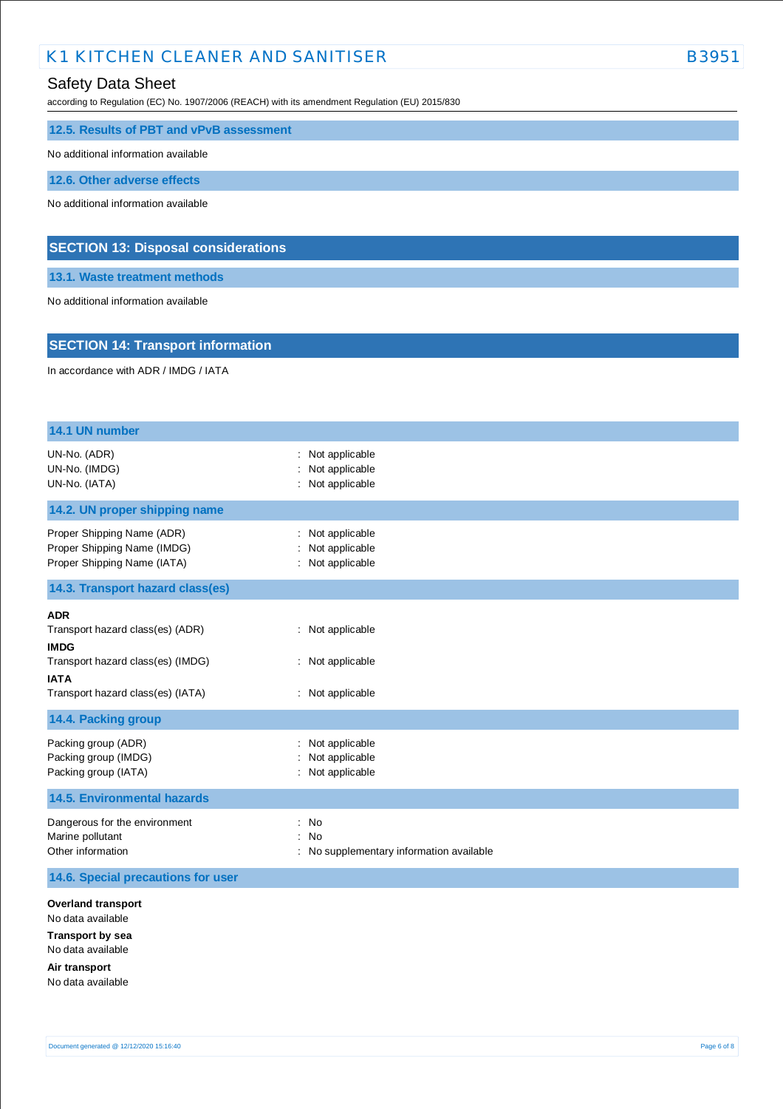## Safety Data Sheet

according to Regulation (EC) No. 1907/2006 (REACH) with its amendment Regulation (EU) 2015/830

**12.5. Results of PBT and vPvB assessment**

No additional information available

**12.6. Other adverse effects**

No additional information available

## **SECTION 13: Disposal considerations**

**13.1. Waste treatment methods**

No additional information available

## **SECTION 14: Transport information**

In accordance with ADR / IMDG / IATA

| 14.1 UN number                                                                                                                       |                                                                  |
|--------------------------------------------------------------------------------------------------------------------------------------|------------------------------------------------------------------|
| UN-No. (ADR)<br>UN-No. (IMDG)<br>UN-No. (IATA)                                                                                       | Not applicable<br>Not applicable<br>Not applicable               |
| 14.2. UN proper shipping name                                                                                                        |                                                                  |
| Proper Shipping Name (ADR)<br>Proper Shipping Name (IMDG)<br>Proper Shipping Name (IATA)                                             | Not applicable<br>Not applicable<br>: Not applicable             |
| 14.3. Transport hazard class(es)                                                                                                     |                                                                  |
| <b>ADR</b><br>Transport hazard class(es) (ADR)<br><b>IMDG</b>                                                                        | : Not applicable                                                 |
| Transport hazard class(es) (IMDG)<br><b>IATA</b>                                                                                     | : Not applicable                                                 |
| Transport hazard class(es) (IATA)                                                                                                    | : Not applicable                                                 |
| 14.4. Packing group                                                                                                                  |                                                                  |
| Packing group (ADR)<br>Packing group (IMDG)<br>Packing group (IATA)                                                                  | Not applicable<br>Not applicable<br>Not applicable               |
| <b>14.5. Environmental hazards</b>                                                                                                   |                                                                  |
| Dangerous for the environment<br>Marine pollutant<br>Other information                                                               | No<br>÷<br><b>No</b><br>: No supplementary information available |
| 14.6. Special precautions for user                                                                                                   |                                                                  |
| <b>Overland transport</b><br>No data available<br><b>Transport by sea</b><br>No data available<br>Air transport<br>No data available |                                                                  |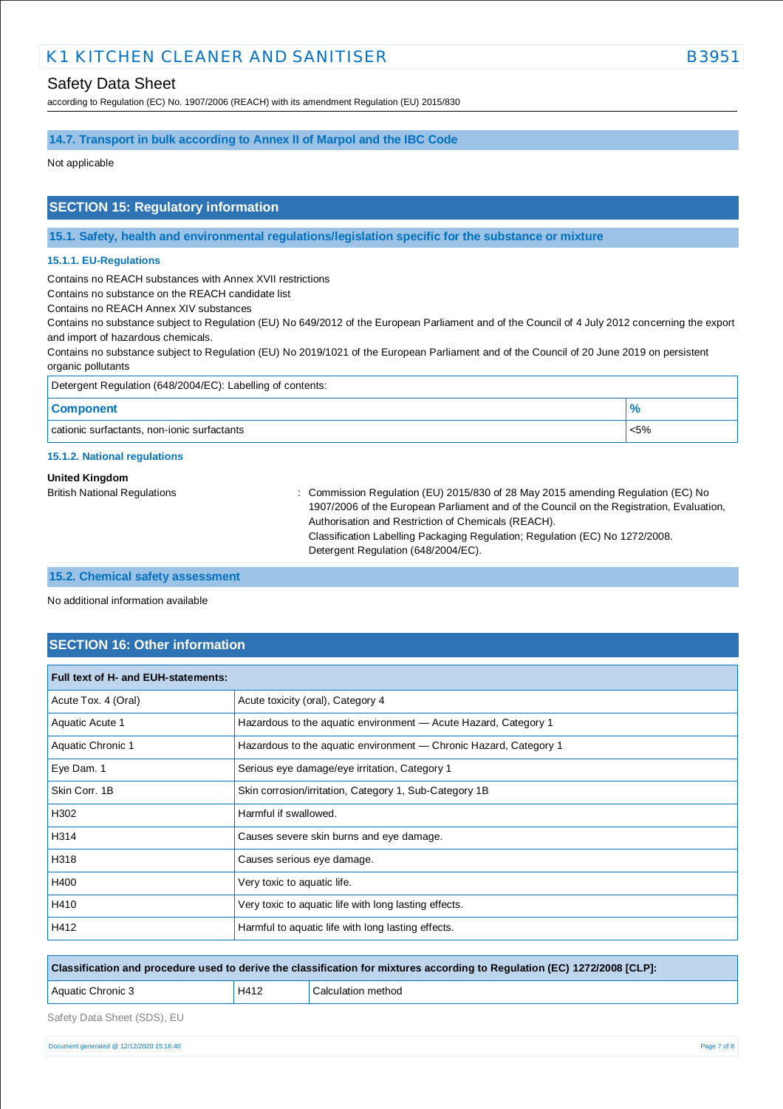according to Regulation (EC) No. 1907/2006 (REACH) with its amendment Regulation (EU) 2015/830

### **14.7. Transport in bulk according to Annex II of Marpol and the IBC Code**

Not applicable

## **SECTION 15: Regulatory information**

**15.1. Safety, health and environmental regulations/legislation specific for the substance or mixture**

#### **15.1.1. EU-Regulations**

Contains no REACH substances with Annex XVII restrictions

Contains no substance on the REACH candidate list

Contains no REACH Annex XIV substances

Contains no substance subject to Regulation (EU) No 649/2012 of the European Parliament and of the Council of 4 July 2012 concerning the export and import of hazardous chemicals.

Contains no substance subject to Regulation (EU) No 2019/1021 of the European Parliament and of the Council of 20 June 2019 on persistent organic pollutants

| Detergent Regulation (648/2004/EC): Labelling of contents: |         |
|------------------------------------------------------------|---------|
| <b>Component</b>                                           |         |
| cationic surfactants, non-ionic surfactants                | $< 5\%$ |

#### **15.1.2. National regulations**

#### **United Kingdom**

British National Regulations : Commission Regulation (EU) 2015/830 of 28 May 2015 amending Regulation (EC) No 1907/2006 of the European Parliament and of the Council on the Registration, Evaluation, Authorisation and Restriction of Chemicals (REACH). Classification Labelling Packaging Regulation; Regulation (EC) No 1272/2008. Detergent Regulation (648/2004/EC).

#### **15.2. Chemical safety assessment**

No additional information available

## **SECTION 16: Other information**

| Full text of H- and EUH-statements: |                                                                   |  |  |
|-------------------------------------|-------------------------------------------------------------------|--|--|
| Acute Tox. 4 (Oral)                 | Acute toxicity (oral), Category 4                                 |  |  |
| Aquatic Acute 1                     | Hazardous to the aquatic environment - Acute Hazard, Category 1   |  |  |
| Aquatic Chronic 1                   | Hazardous to the aquatic environment - Chronic Hazard, Category 1 |  |  |
| Eye Dam. 1                          | Serious eye damage/eye irritation, Category 1                     |  |  |
| Skin Corr. 1B                       | Skin corrosion/irritation, Category 1, Sub-Category 1B            |  |  |
| H302                                | Harmful if swallowed.                                             |  |  |
| H314                                | Causes severe skin burns and eye damage.                          |  |  |
| H318                                | Causes serious eye damage.                                        |  |  |
| H400                                | Very toxic to aquatic life.                                       |  |  |
| H410                                | Very toxic to aquatic life with long lasting effects.             |  |  |
| H412                                | Harmful to aquatic life with long lasting effects.                |  |  |

| Classification and procedure used to derive the classification for mixtures according to Regulation (EC) 1272/2008 [CLP]: |      |                    |  |
|---------------------------------------------------------------------------------------------------------------------------|------|--------------------|--|
| Aquatic Chronic 3                                                                                                         | H412 | Calculation method |  |
|                                                                                                                           |      |                    |  |

Safety Data Sheet (SDS), EU